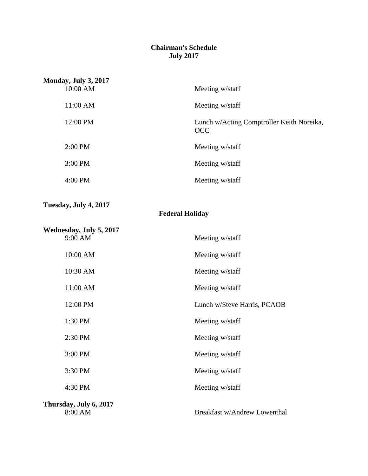### **Chairman's Schedule July 2017**

| Monday, July 3, 2017 |                                                         |
|----------------------|---------------------------------------------------------|
| 10:00 AM             | Meeting w/staff                                         |
| $11:00$ AM           | Meeting w/staff                                         |
| 12:00 PM             | Lunch w/Acting Comptroller Keith Noreika,<br><b>OCC</b> |
| $2:00$ PM            | Meeting w/staff                                         |
| $3:00$ PM            | Meeting w/staff                                         |
| $4:00$ PM            | Meeting w/staff                                         |

### **Tuesday, July 4, 2017**

## **Federal Holiday**

| Wednesday, July 5, 2017           |                              |
|-----------------------------------|------------------------------|
| 9:00 AM                           | Meeting w/staff              |
| 10:00 AM                          | Meeting w/staff              |
| 10:30 AM                          | Meeting w/staff              |
| 11:00 AM                          | Meeting w/staff              |
| 12:00 PM                          | Lunch w/Steve Harris, PCAOB  |
| 1:30 PM                           | Meeting w/staff              |
| 2:30 PM                           | Meeting w/staff              |
| 3:00 PM                           | Meeting w/staff              |
| 3:30 PM                           | Meeting w/staff              |
| 4:30 PM                           | Meeting w/staff              |
| Thursday, July 6, 2017<br>8:00 AM | Breakfast w/Andrew Lowenthal |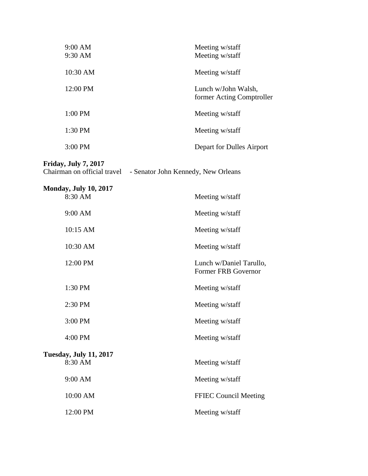| 9:00 AM<br>9:30 AM | Meeting w/staff<br>Meeting w/staff               |
|--------------------|--------------------------------------------------|
| 10:30 AM           | Meeting w/staff                                  |
| 12:00 PM           | Lunch w/John Walsh,<br>former Acting Comptroller |
| $1:00$ PM          | Meeting w/staff                                  |
| 1:30 PM            | Meeting w/staff                                  |
| $3:00 \text{ PM}$  | Depart for Dulles Airport                        |

# **Friday, July 7, 2017**

|  | Chairman on official travel | - Senator John Kennedy, New Orleans |
|--|-----------------------------|-------------------------------------|

| <b>Monday, July 10, 2017</b>             |                                                       |
|------------------------------------------|-------------------------------------------------------|
| 8:30 AM                                  | Meeting w/staff                                       |
| 9:00 AM                                  | Meeting w/staff                                       |
| 10:15 AM                                 | Meeting w/staff                                       |
| 10:30 AM                                 | Meeting w/staff                                       |
| 12:00 PM                                 | Lunch w/Daniel Tarullo,<br><b>Former FRB Governor</b> |
| 1:30 PM                                  | Meeting w/staff                                       |
| 2:30 PM                                  | Meeting w/staff                                       |
| 3:00 PM                                  | Meeting w/staff                                       |
| 4:00 PM                                  | Meeting w/staff                                       |
| <b>Tuesday, July 11, 2017</b><br>8:30 AM | Meeting w/staff                                       |
| 9:00 AM                                  | Meeting w/staff                                       |
| 10:00 AM                                 | <b>FFIEC Council Meeting</b>                          |
| 12:00 PM                                 | Meeting w/staff                                       |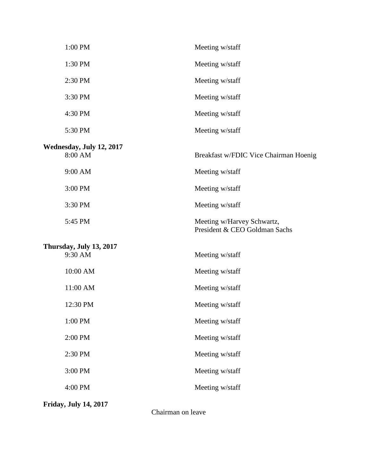| 1:00 PM                             | Meeting w/staff                                             |
|-------------------------------------|-------------------------------------------------------------|
| 1:30 PM                             | Meeting w/staff                                             |
| 2:30 PM                             | Meeting w/staff                                             |
| 3:30 PM                             | Meeting w/staff                                             |
| 4:30 PM                             | Meeting w/staff                                             |
| 5:30 PM                             | Meeting w/staff                                             |
| Wednesday, July 12, 2017<br>8:00 AM | Breakfast w/FDIC Vice Chairman Hoenig                       |
| 9:00 AM                             | Meeting w/staff                                             |
| 3:00 PM                             | Meeting w/staff                                             |
| 3:30 PM                             | Meeting w/staff                                             |
| 5:45 PM                             | Meeting w/Harvey Schwartz,<br>President & CEO Goldman Sachs |
| Thursday, July 13, 2017<br>9:30 AM  | Meeting w/staff                                             |
| 10:00 AM                            | Meeting w/staff                                             |
| 11:00 AM                            | Meeting w/staff                                             |
| 12:30 PM                            | Meeting w/staff                                             |
| 1:00 PM                             | Meeting w/staff                                             |
| 2:00 PM                             | Meeting w/staff                                             |
| 2:30 PM                             | Meeting w/staff                                             |
| 3:00 PM                             | Meeting w/staff                                             |
| 4:00 PM                             | Meeting w/staff                                             |
| <b>Friday, July 14, 2017</b>        |                                                             |

Chairman on leave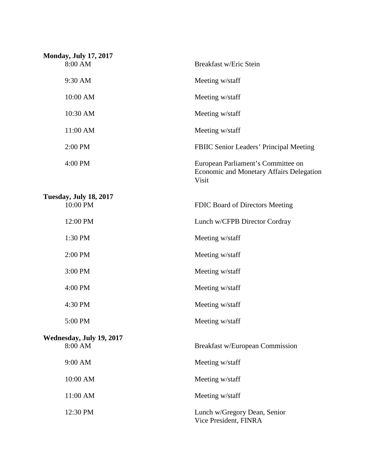| <b>Monday, July 17, 2017</b>  |                                                                                         |
|-------------------------------|-----------------------------------------------------------------------------------------|
| 8:00 AM                       | Breakfast w/Eric Stein                                                                  |
| 9:30 AM                       | Meeting w/staff                                                                         |
| 10:00 AM                      | Meeting w/staff                                                                         |
| 10:30 AM                      | Meeting w/staff                                                                         |
| 11:00 AM                      | Meeting w/staff                                                                         |
| 2:00 PM                       | <b>FBIIC Senior Leaders' Principal Meeting</b>                                          |
| 4:00 PM                       | European Parliament's Committee on<br>Economic and Monetary Affairs Delegation<br>Visit |
| <b>Tuesday, July 18, 2017</b> |                                                                                         |
| 10:00 PM                      | FDIC Board of Directors Meeting                                                         |
| 12:00 PM                      | Lunch w/CFPB Director Cordray                                                           |
| 1:30 PM                       | Meeting w/staff                                                                         |
| 2:00 PM                       | Meeting w/staff                                                                         |
| 3:00 PM                       | Meeting w/staff                                                                         |
| 4:00 PM                       | Meeting w/staff                                                                         |
| 4:30 PM                       | Meeting w/staff                                                                         |
| 5:00 PM                       | Meeting w/staff                                                                         |
| Wednesday, July 19, 2017      |                                                                                         |
| 8:00 AM                       | Breakfast w/European Commission                                                         |
| 9:00 AM                       | Meeting w/staff                                                                         |
| 10:00 AM                      | Meeting w/staff                                                                         |
| 11:00 AM                      | Meeting w/staff                                                                         |
| 12:30 PM                      | Lunch w/Gregory Dean, Senior<br>Vice President, FINRA                                   |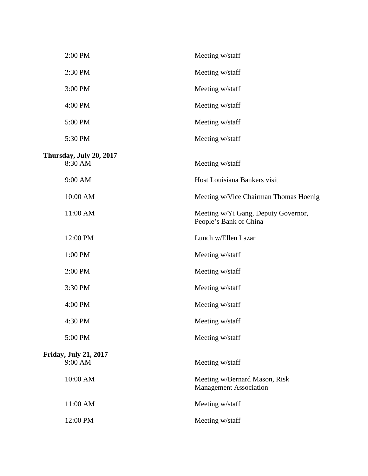| 2:00 PM                            | Meeting w/staff                                                |
|------------------------------------|----------------------------------------------------------------|
| 2:30 PM                            | Meeting w/staff                                                |
| 3:00 PM                            | Meeting w/staff                                                |
| 4:00 PM                            | Meeting w/staff                                                |
| 5:00 PM                            | Meeting w/staff                                                |
| 5:30 PM                            | Meeting w/staff                                                |
| Thursday, July 20, 2017<br>8:30 AM | Meeting w/staff                                                |
| 9:00 AM                            | Host Louisiana Bankers visit                                   |
| 10:00 AM                           | Meeting w/Vice Chairman Thomas Hoenig                          |
| 11:00 AM                           | Meeting w/Yi Gang, Deputy Governor,<br>People's Bank of China  |
| 12:00 PM                           | Lunch w/Ellen Lazar                                            |
| 1:00 PM                            | Meeting w/staff                                                |
| 2:00 PM                            | Meeting w/staff                                                |
| 3:30 PM                            | Meeting w/staff                                                |
| 4:00 PM                            | Meeting w/staff                                                |
| 4:30 PM                            | Meeting w/staff                                                |
| 5:00 PM                            | Meeting w/staff                                                |
| <b>Friday, July 21, 2017</b>       |                                                                |
| 9:00 AM                            | Meeting w/staff                                                |
| 10:00 AM                           | Meeting w/Bernard Mason, Risk<br><b>Management Association</b> |
| 11:00 AM                           | Meeting w/staff                                                |
| 12:00 PM                           | Meeting w/staff                                                |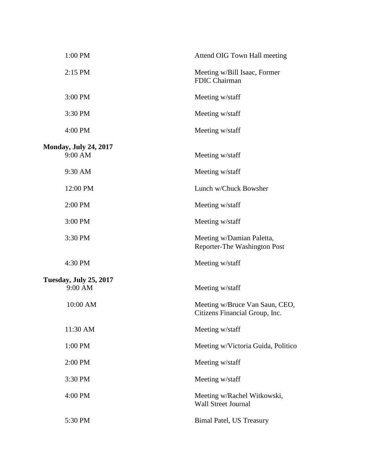| 1:00 PM                                 | Attend OIG Town Hall meeting                                     |
|-----------------------------------------|------------------------------------------------------------------|
| 2:15 PM                                 | Meeting w/Bill Isaac, Former<br>FDIC Chairman                    |
| 3:00 PM                                 | Meeting w/staff                                                  |
| 3:30 PM                                 | Meeting w/staff                                                  |
| 4:00 PM                                 | Meeting w/staff                                                  |
|                                         |                                                                  |
| <b>Monday, July 24, 2017</b><br>9:00 AM | Meeting w/staff                                                  |
|                                         |                                                                  |
| 9:30 AM                                 | Meeting w/staff                                                  |
| 12:00 PM                                | Lunch w/Chuck Bowsher                                            |
| 2:00 PM                                 | Meeting w/staff                                                  |
| 3:00 PM                                 | Meeting w/staff                                                  |
| 3:30 PM                                 | Meeting w/Damian Paletta,<br>Reporter-The Washington Post        |
| 4:30 PM                                 | Meeting w/staff                                                  |
| <b>Tuesday, July 25, 2017</b>           |                                                                  |
| 9:00 AM                                 | Meeting w/staff                                                  |
| 10:00 AM                                | Meeting w/Bruce Van Saun, CEO,<br>Citizens Financial Group, Inc. |
| 11:30 AM                                | Meeting w/staff                                                  |
| 1:00 PM                                 | Meeting w/Victoria Guida, Politico                               |
| 2:00 PM                                 | Meeting w/staff                                                  |
| 3:30 PM                                 | Meeting w/staff                                                  |
| 4:00 PM                                 | Meeting w/Rachel Witkowski,<br><b>Wall Street Journal</b>        |
| 5:30 PM                                 | <b>Bimal Patel, US Treasury</b>                                  |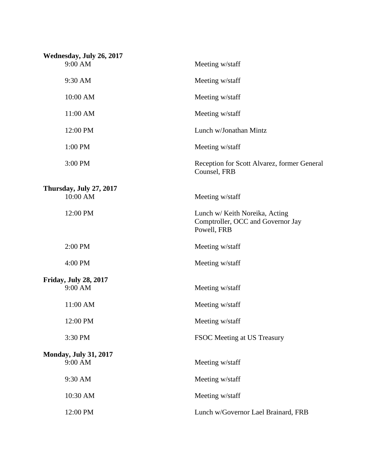| Wednesday, July 26, 2017                |                                                                                    |
|-----------------------------------------|------------------------------------------------------------------------------------|
| 9:00 AM                                 | Meeting w/staff                                                                    |
| 9:30 AM                                 | Meeting w/staff                                                                    |
| 10:00 AM                                | Meeting w/staff                                                                    |
| 11:00 AM                                | Meeting w/staff                                                                    |
| 12:00 PM                                | Lunch w/Jonathan Mintz                                                             |
| 1:00 PM                                 | Meeting w/staff                                                                    |
| 3:00 PM                                 | Reception for Scott Alvarez, former General<br>Counsel, FRB                        |
|                                         |                                                                                    |
| Thursday, July 27, 2017<br>10:00 AM     | Meeting w/staff                                                                    |
| 12:00 PM                                | Lunch w/ Keith Noreika, Acting<br>Comptroller, OCC and Governor Jay<br>Powell, FRB |
| 2:00 PM                                 | Meeting w/staff                                                                    |
| 4:00 PM                                 | Meeting w/staff                                                                    |
|                                         |                                                                                    |
| <b>Friday, July 28, 2017</b><br>9:00 AM | Meeting w/staff                                                                    |
| 11:00 AM                                | Meeting w/staff                                                                    |
| 12:00 PM                                | Meeting w/staff                                                                    |
| 3:30 PM                                 | FSOC Meeting at US Treasury                                                        |
| <b>Monday, July 31, 2017</b>            |                                                                                    |
| 9:00 AM                                 | Meeting w/staff                                                                    |
| 9:30 AM                                 | Meeting w/staff                                                                    |
| 10:30 AM                                | Meeting w/staff                                                                    |
| 12:00 PM                                | Lunch w/Governor Lael Brainard, FRB                                                |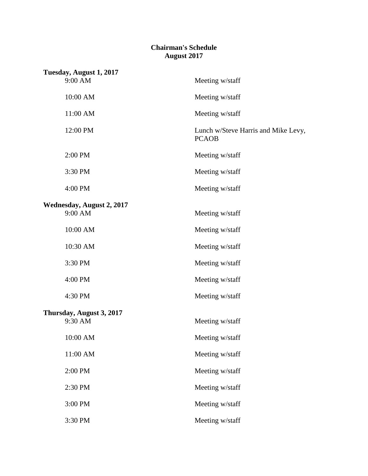### **Chairman's Schedule August 2017**

| Tuesday, August 1, 2017          |                                                     |
|----------------------------------|-----------------------------------------------------|
| 9:00 AM                          | Meeting w/staff                                     |
| 10:00 AM                         | Meeting w/staff                                     |
| 11:00 AM                         | Meeting w/staff                                     |
| 12:00 PM                         | Lunch w/Steve Harris and Mike Levy,<br><b>PCAOB</b> |
| 2:00 PM                          | Meeting w/staff                                     |
| 3:30 PM                          | Meeting w/staff                                     |
| 4:00 PM                          | Meeting w/staff                                     |
| <b>Wednesday, August 2, 2017</b> |                                                     |
| 9:00 AM                          | Meeting w/staff                                     |
| 10:00 AM                         | Meeting w/staff                                     |
| 10:30 AM                         | Meeting w/staff                                     |
| 3:30 PM                          | Meeting w/staff                                     |
| 4:00 PM                          | Meeting w/staff                                     |
| 4:30 PM                          | Meeting w/staff                                     |
| Thursday, August 3, 2017         |                                                     |
| 9:30 AM                          | Meeting w/staff                                     |
| 10:00 AM                         | Meeting w/staff                                     |
| $11:00$ AM $\,$                  | Meeting w/staff                                     |
| 2:00 PM                          | Meeting w/staff                                     |
| 2:30 PM                          | Meeting w/staff                                     |
| 3:00 PM                          | Meeting w/staff                                     |
| 3:30 PM                          | Meeting w/staff                                     |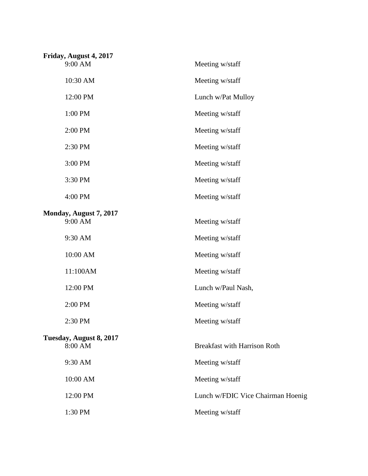| Friday, August 4, 2017             |                                     |
|------------------------------------|-------------------------------------|
| 9:00 AM                            | Meeting w/staff                     |
| 10:30 AM                           | Meeting w/staff                     |
| 12:00 PM                           | Lunch w/Pat Mulloy                  |
| 1:00 PM                            | Meeting w/staff                     |
| 2:00 PM                            | Meeting w/staff                     |
| 2:30 PM                            | Meeting w/staff                     |
| 3:00 PM                            | Meeting w/staff                     |
| 3:30 PM                            | Meeting w/staff                     |
| 4:00 PM                            | Meeting w/staff                     |
| Monday, August 7, 2017<br>9:00 AM  | Meeting w/staff                     |
| 9:30 AM                            | Meeting w/staff                     |
| 10:00 AM                           | Meeting w/staff                     |
| 11:100AM                           | Meeting w/staff                     |
| 12:00 PM                           | Lunch w/Paul Nash,                  |
| 2:00 PM                            | Meeting w/staff                     |
| 2:30 PM                            | Meeting w/staff                     |
| Tuesday, August 8, 2017<br>8:00 AM | <b>Breakfast with Harrison Roth</b> |
| 9:30 AM                            | Meeting w/staff                     |
| 10:00 AM                           | Meeting w/staff                     |
| 12:00 PM                           | Lunch w/FDIC Vice Chairman Hoenig   |
| 1:30 PM                            | Meeting w/staff                     |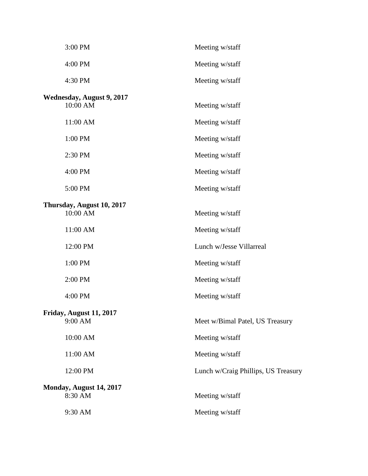| 3:00 PM                               | Meeting w/staff                     |
|---------------------------------------|-------------------------------------|
| 4:00 PM                               | Meeting w/staff                     |
| 4:30 PM                               | Meeting w/staff                     |
| Wednesday, August 9, 2017<br>10:00 AM | Meeting w/staff                     |
| 11:00 AM                              | Meeting w/staff                     |
| 1:00 PM                               | Meeting w/staff                     |
| 2:30 PM                               | Meeting w/staff                     |
| 4:00 PM                               | Meeting w/staff                     |
| 5:00 PM                               | Meeting w/staff                     |
| Thursday, August 10, 2017<br>10:00 AM | Meeting w/staff                     |
| 11:00 AM                              | Meeting w/staff                     |
| 12:00 PM                              | Lunch w/Jesse Villarreal            |
| 1:00 PM                               | Meeting w/staff                     |
| 2:00 PM                               | Meeting w/staff                     |
| 4:00 PM                               | Meeting w/staff                     |
| Friday, August 11, 2017<br>9:00 AM    | Meet w/Bimal Patel, US Treasury     |
| 10:00 AM                              | Meeting w/staff                     |
| 11:00 AM                              | Meeting w/staff                     |
| 12:00 PM                              | Lunch w/Craig Phillips, US Treasury |
| Monday, August 14, 2017<br>8:30 AM    | Meeting w/staff                     |
| 9:30 AM                               | Meeting w/staff                     |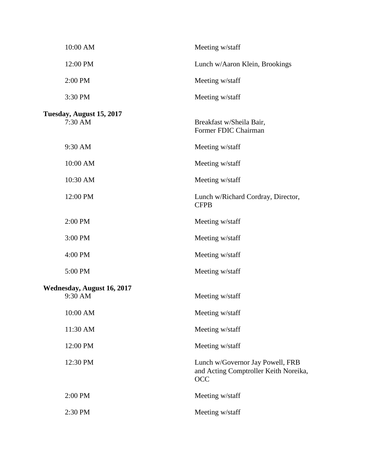| 10:00 AM                              | Meeting w/staff                                                                  |
|---------------------------------------|----------------------------------------------------------------------------------|
| 12:00 PM                              | Lunch w/Aaron Klein, Brookings                                                   |
| 2:00 PM                               | Meeting w/staff                                                                  |
| 3:30 PM                               | Meeting w/staff                                                                  |
| Tuesday, August 15, 2017<br>7:30 AM   | Breakfast w/Sheila Bair,<br>Former FDIC Chairman                                 |
| 9:30 AM                               | Meeting w/staff                                                                  |
| 10:00 AM                              | Meeting w/staff                                                                  |
| 10:30 AM                              | Meeting w/staff                                                                  |
| 12:00 PM                              | Lunch w/Richard Cordray, Director,<br><b>CFPB</b>                                |
| 2:00 PM                               | Meeting w/staff                                                                  |
| 3:00 PM                               | Meeting w/staff                                                                  |
| 4:00 PM                               | Meeting w/staff                                                                  |
| 5:00 PM                               | Meeting w/staff                                                                  |
| Wednesday, August 16, 2017<br>9:30 AM | Meeting w/staff                                                                  |
| $10:00~\mathrm{AM}$                   | Meeting w/staff                                                                  |
| 11:30 AM                              | Meeting w/staff                                                                  |
| 12:00 PM                              | Meeting w/staff                                                                  |
| 12:30 PM                              | Lunch w/Governor Jay Powell, FRB<br>and Acting Comptroller Keith Noreika,<br>OCC |
| 2:00 PM                               | Meeting w/staff                                                                  |
| 2:30 PM                               | Meeting w/staff                                                                  |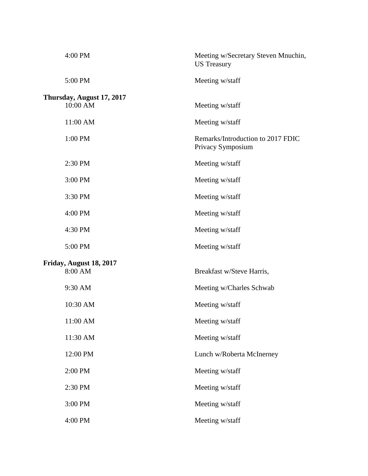| 4:00 PM                               | Meeting w/Secretary Steven Mnuchin,<br><b>US</b> Treasury |
|---------------------------------------|-----------------------------------------------------------|
| 5:00 PM                               | Meeting w/staff                                           |
| Thursday, August 17, 2017<br>10:00 AM | Meeting w/staff                                           |
| 11:00 AM                              | Meeting w/staff                                           |
| 1:00 PM                               | Remarks/Introduction to 2017 FDIC<br>Privacy Symposium    |
| 2:30 PM                               | Meeting w/staff                                           |
| 3:00 PM                               | Meeting w/staff                                           |
| 3:30 PM                               | Meeting w/staff                                           |
| 4:00 PM                               | Meeting w/staff                                           |
| 4:30 PM                               | Meeting w/staff                                           |
| 5:00 PM                               | Meeting w/staff                                           |
| Friday, August 18, 2017<br>8:00 AM    | Breakfast w/Steve Harris,                                 |
| 9:30 AM                               | Meeting w/Charles Schwab                                  |
| 10:30 AM                              | Meeting w/staff                                           |
| 11:00 AM                              | Meeting w/staff                                           |
| 11:30 AM                              | Meeting w/staff                                           |
| 12:00 PM                              | Lunch w/Roberta McInerney                                 |
| 2:00 PM                               | Meeting w/staff                                           |
| 2:30 PM                               | Meeting w/staff                                           |
| 3:00 PM                               | Meeting w/staff                                           |
| 4:00 PM                               | Meeting w/staff                                           |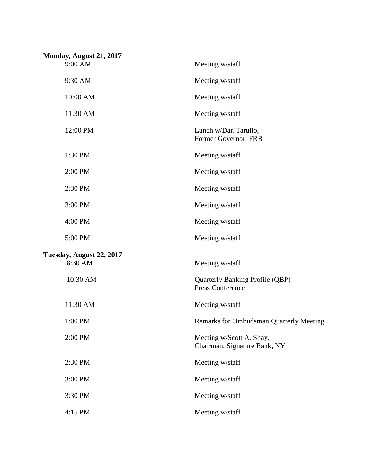| Monday, August 21, 2017  |                                                                   |
|--------------------------|-------------------------------------------------------------------|
| 9:00 AM                  | Meeting w/staff                                                   |
| 9:30 AM                  | Meeting w/staff                                                   |
| 10:00 AM                 | Meeting w/staff                                                   |
| 11:30 AM                 | Meeting w/staff                                                   |
| 12:00 PM                 | Lunch w/Dan Tarullo,<br>Former Governor, FRB                      |
| 1:30 PM                  | Meeting w/staff                                                   |
| 2:00 PM                  | Meeting w/staff                                                   |
| 2:30 PM                  | Meeting w/staff                                                   |
| 3:00 PM                  | Meeting w/staff                                                   |
| 4:00 PM                  | Meeting w/staff                                                   |
| 5:00 PM                  | Meeting w/staff                                                   |
| Tuesday, August 22, 2017 |                                                                   |
| 8:30 AM                  | Meeting w/staff                                                   |
| 10:30 AM                 | <b>Quarterly Banking Profile (QBP)</b><br><b>Press Conference</b> |
| 11:30 AM                 | Meeting w/staff                                                   |
| 1:00 PM                  | <b>Remarks for Ombudsman Quarterly Meeting</b>                    |
| 2:00 PM                  | Meeting w/Scott A. Shay,<br>Chairman, Signature Bank, NY          |
| 2:30 PM                  | Meeting w/staff                                                   |
| 3:00 PM                  | Meeting w/staff                                                   |
| 3:30 PM                  | Meeting w/staff                                                   |
| 4:15 PM                  | Meeting w/staff                                                   |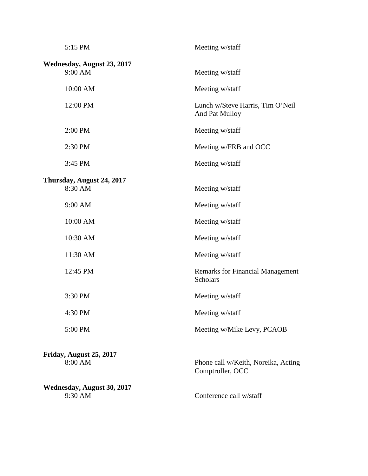| 5:15 PM                               | Meeting w/staff                                            |
|---------------------------------------|------------------------------------------------------------|
| Wednesday, August 23, 2017<br>9:00 AM | Meeting w/staff                                            |
| 10:00 AM                              | Meeting w/staff                                            |
| 12:00 PM                              | Lunch w/Steve Harris, Tim O'Neil<br>And Pat Mulloy         |
| 2:00 PM                               | Meeting w/staff                                            |
| 2:30 PM                               | Meeting w/FRB and OCC                                      |
| 3:45 PM                               | Meeting w/staff                                            |
| Thursday, August 24, 2017             |                                                            |
| 8:30 AM                               | Meeting w/staff                                            |
| 9:00 AM                               | Meeting w/staff                                            |
| 10:00 AM                              | Meeting w/staff                                            |
| 10:30 AM                              | Meeting w/staff                                            |
| 11:30 AM                              | Meeting w/staff                                            |
| 12:45 PM                              | <b>Remarks for Financial Management</b><br><b>Scholars</b> |
| 3:30 PM                               | Meeting w/staff                                            |
| 4:30 PM                               | Meeting w/staff                                            |
| 5:00 PM                               | Meeting w/Mike Levy, PCAOB                                 |
| Friday, August 25, 2017               |                                                            |
| 8:00 AM                               | Phone call w/Keith, Noreika, Acting<br>Comptroller, OCC    |
| Wednesday, August 30, 2017            |                                                            |
| 9:30 AM                               | Conference call w/staff                                    |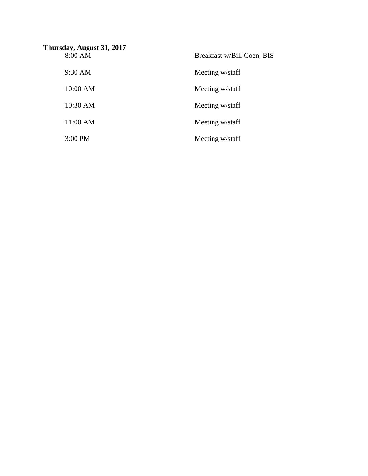| Thursday, August 31, 2017 |                            |
|---------------------------|----------------------------|
| 8:00 AM                   | Breakfast w/Bill Coen, BIS |
| $9:30$ AM                 | Meeting w/staff            |
| 10:00 AM                  | Meeting w/staff            |
| 10:30 AM                  | Meeting w/staff            |
| 11:00 AM                  | Meeting w/staff            |
| 3:00 PM                   | Meeting w/staff            |
|                           |                            |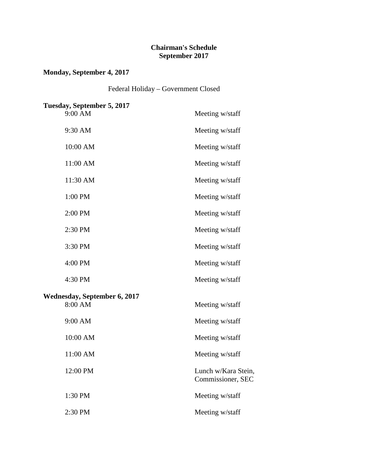### **Chairman's Schedule September 2017**

### **Monday, September 4, 2017**

Federal Holiday – Government Closed

| Tuesday, September 5, 2017          |                                          |
|-------------------------------------|------------------------------------------|
| 9:00 AM                             | Meeting w/staff                          |
| 9:30 AM                             | Meeting w/staff                          |
| 10:00 AM                            | Meeting w/staff                          |
| 11:00 AM                            | Meeting w/staff                          |
| 11:30 AM                            | Meeting w/staff                          |
| 1:00 PM                             | Meeting w/staff                          |
| 2:00 PM                             | Meeting w/staff                          |
| 2:30 PM                             | Meeting w/staff                          |
| 3:30 PM                             | Meeting w/staff                          |
| 4:00 PM                             | Meeting w/staff                          |
| 4:30 PM                             | Meeting w/staff                          |
| <b>Wednesday, September 6, 2017</b> |                                          |
| 8:00 AM                             | Meeting w/staff                          |
| 9:00 AM                             | Meeting w/staff                          |
| 10:00 AM                            | Meeting w/staff                          |
| 11:00 AM                            | Meeting w/staff                          |
| 12:00 PM                            | Lunch w/Kara Stein,<br>Commissioner, SEC |
| 1:30 PM                             | Meeting w/staff                          |
| 2:30 PM                             | Meeting w/staff                          |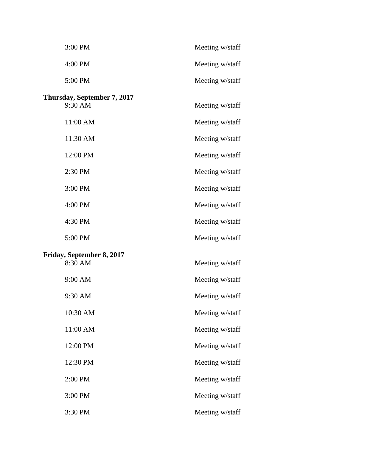| 3:00 PM                                | Meeting w/staff |
|----------------------------------------|-----------------|
| 4:00 PM                                | Meeting w/staff |
| 5:00 PM                                | Meeting w/staff |
| Thursday, September 7, 2017<br>9:30 AM | Meeting w/staff |
| 11:00 AM                               | Meeting w/staff |
| 11:30 AM                               | Meeting w/staff |
| 12:00 PM                               | Meeting w/staff |
| 2:30 PM                                | Meeting w/staff |
| 3:00 PM                                | Meeting w/staff |
| 4:00 PM                                | Meeting w/staff |
| 4:30 PM                                | Meeting w/staff |
| 5:00 PM                                | Meeting w/staff |
| Friday, September 8, 2017<br>8:30 AM   | Meeting w/staff |
| 9:00 AM                                | Meeting w/staff |
| 9:30 AM                                | Meeting w/staff |
| 10:30 AM                               | Meeting w/staff |
| 11:00 AM                               | Meeting w/staff |
| 12:00 PM                               | Meeting w/staff |
| 12:30 PM                               | Meeting w/staff |
| 2:00 PM                                | Meeting w/staff |
| 3:00 PM                                | Meeting w/staff |
| 3:30 PM                                | Meeting w/staff |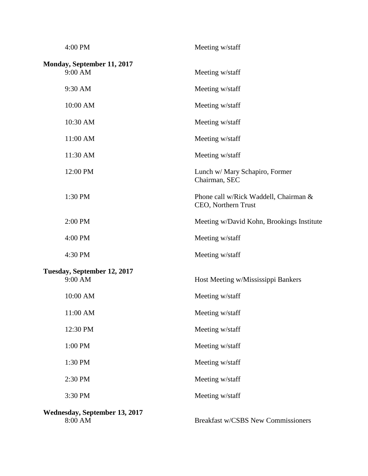| 4:00 PM                                  | Meeting w/staff                                              |
|------------------------------------------|--------------------------------------------------------------|
| Monday, September 11, 2017<br>9:00 AM    | Meeting w/staff                                              |
| 9:30 AM                                  | Meeting w/staff                                              |
| 10:00 AM                                 | Meeting w/staff                                              |
| 10:30 AM                                 | Meeting w/staff                                              |
| 11:00 AM                                 | Meeting w/staff                                              |
| 11:30 AM                                 | Meeting w/staff                                              |
| 12:00 PM                                 | Lunch w/ Mary Schapiro, Former<br>Chairman, SEC              |
| 1:30 PM                                  | Phone call w/Rick Waddell, Chairman &<br>CEO, Northern Trust |
| 2:00 PM                                  | Meeting w/David Kohn, Brookings Institute                    |
| 4:00 PM                                  | Meeting w/staff                                              |
| 4:30 PM                                  | Meeting w/staff                                              |
| Tuesday, September 12, 2017<br>9:00 AM   | Host Meeting w/Mississippi Bankers                           |
| 10:00 AM                                 | Meeting w/staff                                              |
| 11:00 AM                                 | Meeting w/staff                                              |
| 12:30 PM                                 | Meeting w/staff                                              |
| 1:00 PM                                  | Meeting w/staff                                              |
| 1:30 PM                                  | Meeting w/staff                                              |
| 2:30 PM                                  | Meeting w/staff                                              |
| 3:30 PM                                  | Meeting w/staff                                              |
| Wednesday, September 13, 2017<br>8:00 AM | Breakfast w/CSBS New Commissioners                           |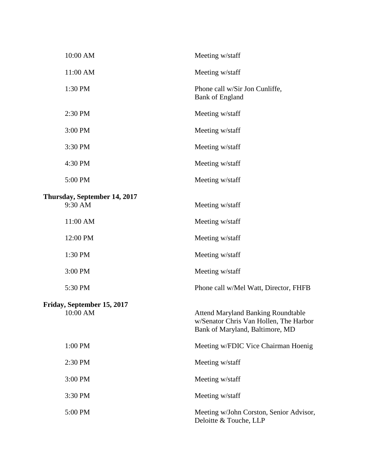| 10:00 AM                                | Meeting w/staff                                                                                                        |
|-----------------------------------------|------------------------------------------------------------------------------------------------------------------------|
| 11:00 AM                                | Meeting w/staff                                                                                                        |
| 1:30 PM                                 | Phone call w/Sir Jon Cunliffe,<br><b>Bank of England</b>                                                               |
| 2:30 PM                                 | Meeting w/staff                                                                                                        |
| 3:00 PM                                 | Meeting w/staff                                                                                                        |
| 3:30 PM                                 | Meeting w/staff                                                                                                        |
| 4:30 PM                                 | Meeting w/staff                                                                                                        |
| 5:00 PM                                 | Meeting w/staff                                                                                                        |
| Thursday, September 14, 2017<br>9:30 AM | Meeting w/staff                                                                                                        |
| 11:00 AM                                | Meeting w/staff                                                                                                        |
| 12:00 PM                                | Meeting w/staff                                                                                                        |
| 1:30 PM                                 | Meeting w/staff                                                                                                        |
| 3:00 PM                                 | Meeting w/staff                                                                                                        |
| 5:30 PM                                 | Phone call w/Mel Watt, Director, FHFB                                                                                  |
| Friday, September 15, 2017<br>10:00 AM  | <b>Attend Maryland Banking Roundtable</b><br>w/Senator Chris Van Hollen, The Harbor<br>Bank of Maryland, Baltimore, MD |
| 1:00 PM                                 | Meeting w/FDIC Vice Chairman Hoenig                                                                                    |
| 2:30 PM                                 | Meeting w/staff                                                                                                        |
| 3:00 PM                                 | Meeting w/staff                                                                                                        |
| 3:30 PM                                 | Meeting w/staff                                                                                                        |
| 5:00 PM                                 | Meeting w/John Corston, Senior Advisor,<br>Deloitte & Touche, LLP                                                      |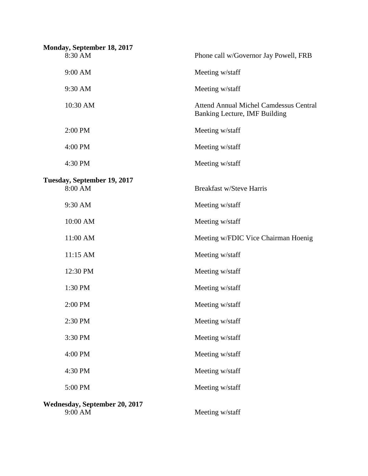| Monday, September 18, 2017               |                                                                                |
|------------------------------------------|--------------------------------------------------------------------------------|
| 8:30 AM                                  | Phone call w/Governor Jay Powell, FRB                                          |
| 9:00 AM                                  | Meeting w/staff                                                                |
| 9:30 AM                                  | Meeting w/staff                                                                |
| 10:30 AM                                 | <b>Attend Annual Michel Camdessus Central</b><br>Banking Lecture, IMF Building |
| 2:00 PM                                  | Meeting w/staff                                                                |
| 4:00 PM                                  | Meeting w/staff                                                                |
| 4:30 PM                                  | Meeting w/staff                                                                |
| Tuesday, September 19, 2017              |                                                                                |
| 8:00 AM                                  | <b>Breakfast w/Steve Harris</b>                                                |
| 9:30 AM                                  | Meeting w/staff                                                                |
| 10:00 AM                                 | Meeting w/staff                                                                |
| 11:00 AM                                 | Meeting w/FDIC Vice Chairman Hoenig                                            |
| 11:15 AM                                 | Meeting w/staff                                                                |
| 12:30 PM                                 | Meeting w/staff                                                                |
| 1:30 PM                                  | Meeting w/staff                                                                |
| 2:00 PM                                  | Meeting w/staff                                                                |
| 2:30 PM                                  | Meeting w/staff                                                                |
| 3:30 PM                                  | Meeting w/staff                                                                |
| 4:00 PM                                  | Meeting w/staff                                                                |
| 4:30 PM                                  | Meeting w/staff                                                                |
| 5:00 PM                                  | Meeting w/staff                                                                |
| Wednesday, September 20, 2017<br>9:00 AM | Meeting w/staff                                                                |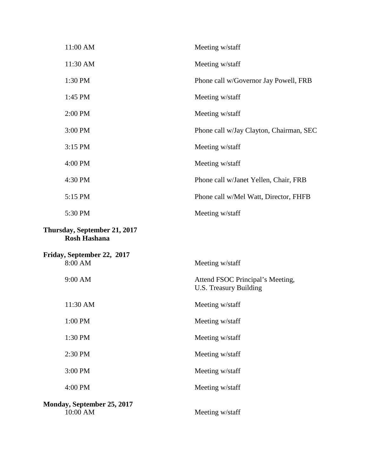| 11:00 AM                                            | Meeting w/staff                                            |
|-----------------------------------------------------|------------------------------------------------------------|
| 11:30 AM                                            | Meeting w/staff                                            |
| 1:30 PM                                             | Phone call w/Governor Jay Powell, FRB                      |
| 1:45 PM                                             | Meeting w/staff                                            |
| 2:00 PM                                             | Meeting w/staff                                            |
| 3:00 PM                                             | Phone call w/Jay Clayton, Chairman, SEC                    |
| 3:15 PM                                             | Meeting w/staff                                            |
| 4:00 PM                                             | Meeting w/staff                                            |
| 4:30 PM                                             | Phone call w/Janet Yellen, Chair, FRB                      |
| 5:15 PM                                             | Phone call w/Mel Watt, Director, FHFB                      |
| 5:30 PM                                             | Meeting w/staff                                            |
| Thursday, September 21, 2017<br><b>Rosh Hashana</b> |                                                            |
| Friday, September 22, 2017<br>8:00 AM               | Meeting w/staff                                            |
| 9:00 AM                                             | Attend FSOC Principal's Meeting,<br>U.S. Treasury Building |
| 11:30 AM                                            | Meeting w/staff                                            |
| 1:00 PM                                             | Meeting w/staff                                            |
| 1:30 PM                                             | Meeting w/staff                                            |
| 2:30 PM                                             | Meeting w/staff                                            |
| 3:00 PM                                             | Meeting w/staff                                            |
| 4:00 PM                                             | Meeting w/staff                                            |
| Monday, September 25, 2017<br>10:00 AM              | Meeting w/staff                                            |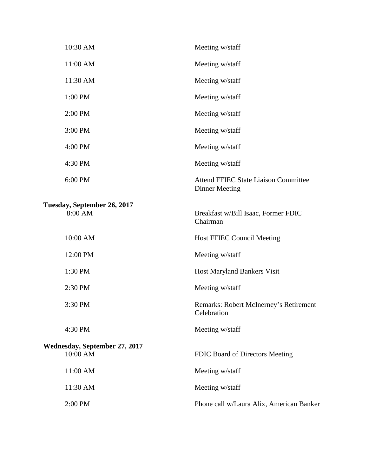| 11:00 AM<br>Meeting w/staff<br>11:30 AM<br>Meeting w/staff<br>1:00 PM<br>Meeting w/staff<br>2:00 PM<br>Meeting w/staff |  |
|------------------------------------------------------------------------------------------------------------------------|--|
|                                                                                                                        |  |
|                                                                                                                        |  |
|                                                                                                                        |  |
|                                                                                                                        |  |
| 3:00 PM<br>Meeting w/staff                                                                                             |  |
| 4:00 PM<br>Meeting w/staff                                                                                             |  |
| 4:30 PM<br>Meeting w/staff                                                                                             |  |
| 6:00 PM<br><b>Attend FFIEC State Liaison Committee</b><br><b>Dinner Meeting</b>                                        |  |
| Tuesday, September 26, 2017<br>8:00 AM<br>Breakfast w/Bill Isaac, Former FDIC<br>Chairman                              |  |
| 10:00 AM<br><b>Host FFIEC Council Meeting</b>                                                                          |  |
| 12:00 PM<br>Meeting w/staff                                                                                            |  |
| 1:30 PM<br>Host Maryland Bankers Visit                                                                                 |  |
| 2:30 PM<br>Meeting w/staff                                                                                             |  |
| 3:30 PM<br>Remarks: Robert McInerney's Retirement<br>Celebration                                                       |  |
| Meeting w/staff<br>4:30 PM                                                                                             |  |
| Wednesday, September 27, 2017<br>10:00 AM<br>FDIC Board of Directors Meeting                                           |  |
| 11:00 AM<br>Meeting w/staff                                                                                            |  |
|                                                                                                                        |  |
| 11:30 AM<br>Meeting w/staff                                                                                            |  |